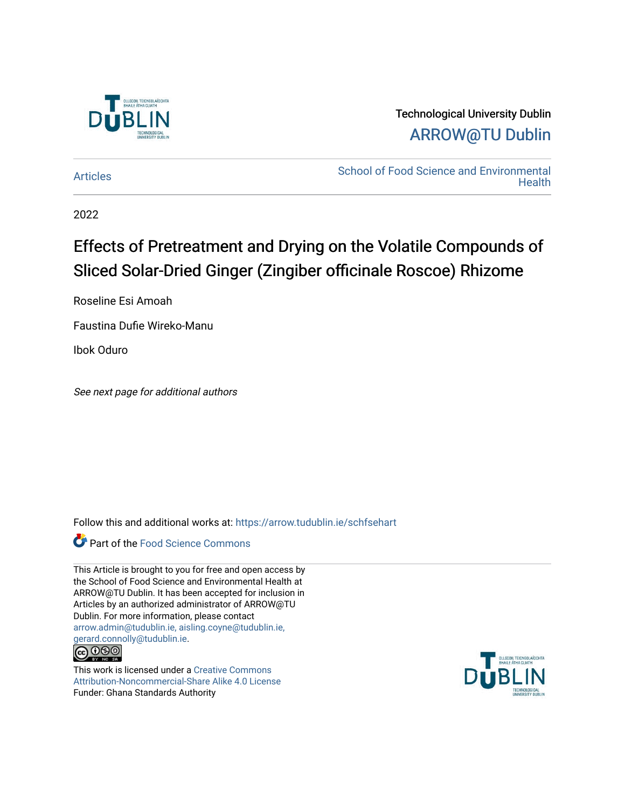

# Technological University Dublin [ARROW@TU Dublin](https://arrow.tudublin.ie/)

[Articles](https://arrow.tudublin.ie/schfsehart) **School of Food Science and Environmental Health** 

2022

# Effects of Pretreatment and Drying on the Volatile Compounds of Sliced Solar-Dried Ginger (Zingiber officinale Roscoe) Rhizome

Roseline Esi Amoah

Faustina Dufie Wireko-Manu

Ibok Oduro

See next page for additional authors

Follow this and additional works at: [https://arrow.tudublin.ie/schfsehart](https://arrow.tudublin.ie/schfsehart?utm_source=arrow.tudublin.ie%2Fschfsehart%2F491&utm_medium=PDF&utm_campaign=PDFCoverPages) 



This Article is brought to you for free and open access by the School of Food Science and Environmental Health at ARROW@TU Dublin. It has been accepted for inclusion in Articles by an authorized administrator of ARROW@TU Dublin. For more information, please contact [arrow.admin@tudublin.ie, aisling.coyne@tudublin.ie,](mailto:arrow.admin@tudublin.ie,%20aisling.coyne@tudublin.ie,%20gerard.connolly@tudublin.ie)  [gerard.connolly@tudublin.ie](mailto:arrow.admin@tudublin.ie,%20aisling.coyne@tudublin.ie,%20gerard.connolly@tudublin.ie).<br>@090



This work is licensed under a [Creative Commons](http://creativecommons.org/licenses/by-nc-sa/4.0/) [Attribution-Noncommercial-Share Alike 4.0 License](http://creativecommons.org/licenses/by-nc-sa/4.0/) Funder: Ghana Standards Authority

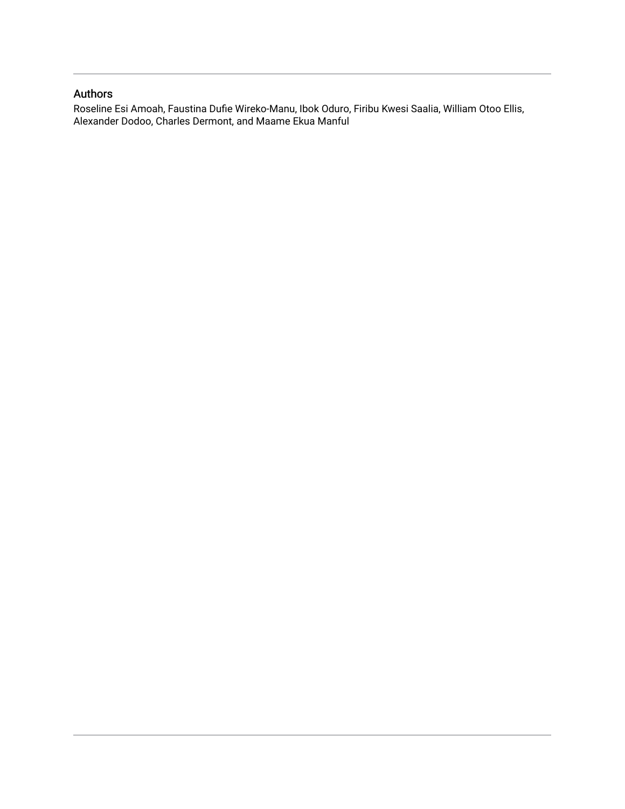### Authors

Roseline Esi Amoah, Faustina Dufie Wireko-Manu, Ibok Oduro, Firibu Kwesi Saalia, William Otoo Ellis, Alexander Dodoo, Charles Dermont, and Maame Ekua Manful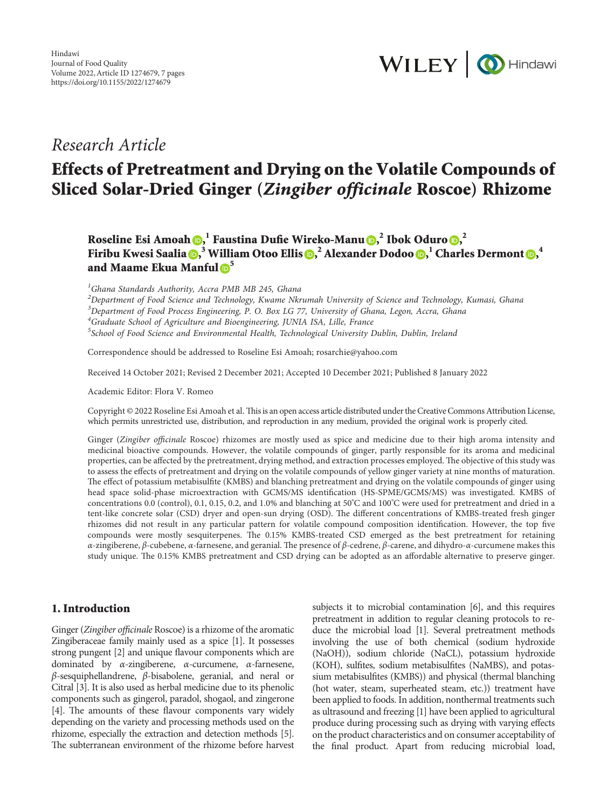

## *Research Article*

# **Effects of Pretreatment and Drying on the Volatile Compounds of Sliced Solar-Dried Ginger (***Zingiber officinale* **Roscoe) Rhizome**

**Roseline Esi Amoah , <sup>1</sup> Faustina Dufie Wireko-Manu , <sup>2</sup> Ibok Oduro [,](https://orcid.org/0000-0003-3731-2684) 2 Firibu Kwesi Saalia , <sup>3</sup> William Otoo Ellis , <sup>2</sup> Alexander Dodoo , <sup>1</sup> Charles Dermont , 4 and Maame Ekua Manful [5](https://orcid.org/0000-0002-3301-6450)**

*1 Ghana Standards Authority, Accra PMB MB 245, Ghana*

*2 Department of Food Science and Technology, Kwame Nkrumah University of Science and Technology, Kumasi, Ghana 3 Department of Food Process Engineering, P. O. Box LG 77, University of Ghana, Legon, Accra, Ghana*

*4 Graduate School of Agriculture and Bioengineering, JUNIA ISA, Lille, France 5 School of Food Science and Environmental Health, Technological University Dublin, Dublin, Ireland*

Correspondence should be addressed to Roseline Esi Amoah; [rosarchie@yahoo.com](mailto:rosarchie@yahoo.com)

Received 14 October 2021; Revised 2 December 2021; Accepted 10 December 2021; Published 8 January 2022

Academic Editor: Flora V. Romeo

Copyright © 2022 Roseline Esi Amoah et al. This is an open access article distributed under the [Creative Commons Attribution License](https://creativecommons.org/licenses/by/4.0/), which permits unrestricted use, distribution, and reproduction in any medium, provided the original work is properly cited.

Ginger (*Zingiber officinale* Roscoe) rhizomes are mostly used as spice and medicine due to their high aroma intensity and medicinal bioactive compounds. However, the volatile compounds of ginger, partly responsible for its aroma and medicinal properties, can be affected by the pretreatment, drying method, and extraction processes employed. The objective of this study was to assess the effects of pretreatment and drying on the volatile compounds of yellow ginger variety at nine months of maturation. The effect of potassium metabisulfite (KMBS) and blanching pretreatment and drying on the volatile compounds of ginger using head space solid-phase microextraction with GCMS/MS identification (HS-SPME/GCMS/MS) was investigated. KMBS of concentrations 0.0 (control), 0.1, 0.15, 0.2, and 1.0% and blanching at 50°C and 100°C were used for pretreatment and dried in a tent-like concrete solar (CSD) dryer and open-sun drying (OSD). The different concentrations of KMBS-treated fresh ginger rhizomes did not result in any particular pattern for volatile compound composition identification. However, the top five compounds were mostly sesquiterpenes. The 0.15% KMBS-treated CSD emerged as the best pretreatment for retaining *α*-zingiberene, *β*-cubebene, *α*-farnesene, and geranial. %e presence of *β*-cedrene, *β*-carene, and dihydro-*α*-curcumene makes this study unique. The 0.15% KMBS pretreatment and CSD drying can be adopted as an affordable alternative to preserve ginger.

#### **1. Introduction**

Ginger (*Zingiber officinale* Roscoe) is a rhizome of the aromatic Zingiberaceae family mainly used as a spice [[1\]](#page-8-0). It possesses strong pungent [\[2](#page-8-0)] and unique flavour components which are dominated by *α*-zingiberene, *α*-curcumene, *α*-farnesene, *β*-sesquiphellandrene, *β*-bisabolene, geranial, and neral or Citral [\[3\]](#page-8-0). It is also used as herbal medicine due to its phenolic components such as gingerol, paradol, shogaol, and zingerone [\[4\]](#page-8-0). The amounts of these flavour components vary widely depending on the variety and processing methods used on the rhizome, especially the extraction and detection methods [\[5\]](#page-8-0). The subterranean environment of the rhizome before harvest

subjects it to microbial contamination [\[6\]](#page-8-0), and this requires pretreatment in addition to regular cleaning protocols to reduce the microbial load [[1\]](#page-8-0). Several pretreatment methods involving the use of both chemical (sodium hydroxide (NaOH)), sodium chloride (NaCL), potassium hydroxide (KOH), sulfites, sodium metabisulfites (NaMBS), and potassium metabisulfites (KMBS)) and physical (thermal blanching (hot water, steam, superheated steam, etc.)) treatment have been applied to foods. In addition, nonthermal treatments such as ultrasound and freezing [\[1](#page-8-0)] have been applied to agricultural produce during processing such as drying with varying effects on the product characteristics and on consumer acceptability of the final product. Apart from reducing microbial load,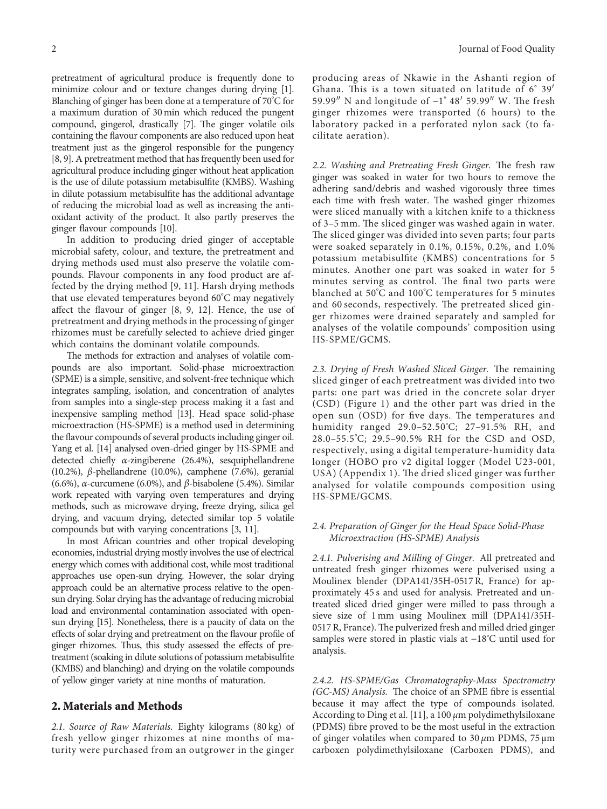pretreatment of agricultural produce is frequently done to minimize colour and or texture changes during drying [\[1\]](#page-8-0). Blanching of ginger has been done at a temperature of 70°C for a maximum duration of 30 min which reduced the pungent compound, gingerol, drastically [\[7\]](#page-8-0). The ginger volatile oils containing the flavour components are also reduced upon heat treatment just as the gingerol responsible for the pungency [\[8, 9](#page-8-0)]. A pretreatment method that has frequently been used for agricultural produce including ginger without heat application is the use of dilute potassium metabisulfite (KMBS). Washing in dilute potassium metabisulfite has the additional advantage of reducing the microbial load as well as increasing the antioxidant activity of the product. It also partly preserves the ginger flavour compounds [\[10\]](#page-8-0).

In addition to producing dried ginger of acceptable microbial safety, colour, and texture, the pretreatment and drying methods used must also preserve the volatile compounds. Flavour components in any food product are affected by the drying method [[9, 11](#page-8-0)]. Harsh drying methods that use elevated temperatures beyond 60°C may negatively affect the flavour of ginger [[8, 9](#page-8-0), [12](#page-8-0)]. Hence, the use of pretreatment and drying methods in the processing of ginger rhizomes must be carefully selected to achieve dried ginger which contains the dominant volatile compounds.

The methods for extraction and analyses of volatile compounds are also important. Solid-phase microextraction (SPME) is a simple, sensitive, and solvent-free technique which integrates sampling, isolation, and concentration of analytes from samples into a single-step process making it a fast and inexpensive sampling method [\[13\]](#page-8-0). Head space solid-phase microextraction (HS-SPME) is a method used in determining the flavour compounds of several products including ginger oil. Yang et al. [[14](#page-8-0)] analysed oven-dried ginger by HS-SPME and detected chiefly *α*-zingiberene (26.4%), sesquiphellandrene (10.2%), *β*-phellandrene (10.0%), camphene (7.6%), geranial (6.6%), *α*-curcumene (6.0%), and *β*-bisabolene (5.4%). Similar work repeated with varying oven temperatures and drying methods, such as microwave drying, freeze drying, silica gel drying, and vacuum drying, detected similar top 5 volatile compounds but with varying concentrations [[3](#page-8-0), [11\]](#page-8-0).

In most African countries and other tropical developing economies, industrial drying mostly involves the use of electrical energy which comes with additional cost, while most traditional approaches use open-sun drying. However, the solar drying approach could be an alternative process relative to the opensun drying. Solar drying has the advantage of reducing microbial load and environmental contamination associated with opensun drying [\[15](#page-8-0)]. Nonetheless, there is a paucity of data on the effects of solar drying and pretreatment on the flavour profile of ginger rhizomes. Thus, this study assessed the effects of pretreatment (soaking in dilute solutions of potassium metabisulfite (KMBS) and blanching) and drying on the volatile compounds of yellow ginger variety at nine months of maturation.

#### **2. Materials and Methods**

*2.1. Source of Raw Materials.* Eighty kilograms (80 kg) of fresh yellow ginger rhizomes at nine months of maturity were purchased from an outgrower in the ginger producing areas of Nkawie in the Ashanti region of Ghana. This is a town situated on latitude of  $6° 39'$ 59.99" N and longitude of  $-1^{\circ}$  48' 59.99" W. The fresh ginger rhizomes were transported (6 hours) to the laboratory packed in a perforated nylon sack (to facilitate aeration).

2.2. Washing and Pretreating Fresh Ginger. The fresh raw ginger was soaked in water for two hours to remove the adhering sand/debris and washed vigorously three times each time with fresh water. The washed ginger rhizomes were sliced manually with a kitchen knife to a thickness of 3–5 mm. The sliced ginger was washed again in water. The sliced ginger was divided into seven parts; four parts were soaked separately in 0.1%, 0.15%, 0.2%, and 1.0% potassium metabisulfite (KMBS) concentrations for 5 minutes. Another one part was soaked in water for 5 minutes serving as control. The final two parts were blanched at 50°C and 100°C temperatures for 5 minutes and 60 seconds, respectively. The pretreated sliced ginger rhizomes were drained separately and sampled for analyses of the volatile compounds' composition using HS-SPME/GCMS.

2.3. Drying of Fresh Washed Sliced Ginger. The remaining sliced ginger of each pretreatment was divided into two parts: one part was dried in the concrete solar dryer (CSD) (Figure [1\)](#page-4-0) and the other part was dried in the open sun (OSD) for five days. The temperatures and humidity ranged 29.0–52.50°C; 27–91.5% RH, and 28.0–55.5°C; 29.5–90.5% RH for the CSD and OSD, respectively, using a digital temperature-humidity data longer (HOBO pro v2 digital logger (Model U23-001, USA) (Appendix [1\)](#page-8-0). The dried sliced ginger was further analysed for volatile compounds composition using HS-SPME/GCMS.

#### *2.4. Preparation of Ginger for the Head Space Solid-Phase Microextraction (HS-SPME) Analysis*

*2.4.1. Pulverising and Milling of Ginger.* All pretreated and untreated fresh ginger rhizomes were pulverised using a Moulinex blender (DPA141/35H-0517 R, France) for approximately 45 s and used for analysis. Pretreated and untreated sliced dried ginger were milled to pass through a sieve size of 1 mm using Moulinex mill (DPA141/35H-0517 R, France). The pulverized fresh and milled dried ginger samples were stored in plastic vials at −18°C until used for analysis.

*2.4.2. HS-SPME/Gas Chromatography-Mass Spectrometry (GC-MS) Analysis.* The choice of an SPME fibre is essential because it may affect the type of compounds isolated. According to Ding et al. [[11](#page-8-0)], a 100 *µ*m polydimethylsiloxane (PDMS) fibre proved to be the most useful in the extraction of ginger volatiles when compared to 30 *μ*m PDMS, 75 µm carboxen polydimethylsiloxane (Carboxen PDMS), and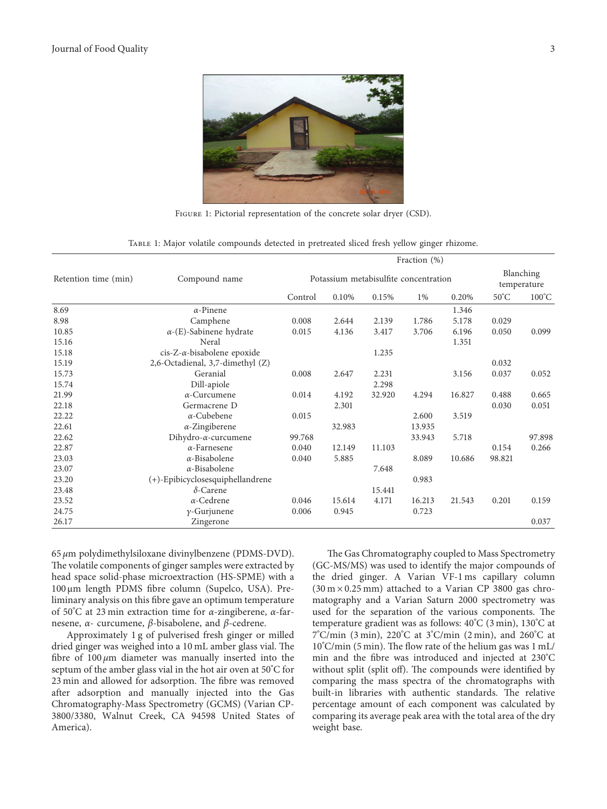<span id="page-4-0"></span>

FIGURE 1: Pictorial representation of the concrete solar dryer (CSD).

TABLE 1: Major volatile compounds detected in pretreated sliced fresh yellow ginger rhizome.

|                      | Compound name                     | Fraction (%)                          |        |        |        |        |                          |                 |  |
|----------------------|-----------------------------------|---------------------------------------|--------|--------|--------|--------|--------------------------|-----------------|--|
| Retention time (min) |                                   | Potassium metabisulfite concentration |        |        |        |        | Blanching<br>temperature |                 |  |
|                      |                                   | Control                               | 0.10%  | 0.15%  | 1%     | 0.20%  | $50^{\circ}$ C           | $100^{\circ}$ C |  |
| 8.69                 | $\alpha$ -Pinene                  |                                       |        |        |        | 1.346  |                          |                 |  |
| 8.98                 | Camphene                          | 0.008                                 | 2.644  | 2.139  | 1.786  | 5.178  | 0.029                    |                 |  |
| 10.85                | $\alpha$ -(E)-Sabinene hydrate    | 0.015                                 | 4.136  | 3.417  | 3.706  | 6.196  | 0.050                    | 0.099           |  |
| 15.16                | Neral                             |                                       |        |        |        | 1.351  |                          |                 |  |
| 15.18                | $cis-Z-\alpha-bisabolene$ epoxide |                                       |        | 1.235  |        |        |                          |                 |  |
| 15.19                | 2,6-Octadienal, 3,7-dimethyl (Z)  |                                       |        |        |        |        | 0.032                    |                 |  |
| 15.73                | Geranial                          | 0.008                                 | 2.647  | 2.231  |        | 3.156  | 0.037                    | 0.052           |  |
| 15.74                | Dill-apiole                       |                                       |        | 2.298  |        |        |                          |                 |  |
| 21.99                | $\alpha$ -Curcumene               | 0.014                                 | 4.192  | 32.920 | 4.294  | 16.827 | 0.488                    | 0.665           |  |
| 22.18                | Germacrene D                      |                                       | 2.301  |        |        |        | 0.030                    | 0.051           |  |
| 22.22                | $\alpha$ -Cubebene                | 0.015                                 |        |        | 2.600  | 3.519  |                          |                 |  |
| 22.61                | $\alpha$ -Zingiberene             |                                       | 32.983 |        | 13.935 |        |                          |                 |  |
| 22.62                | Dihydro- $\alpha$ -curcumene      | 99.768                                |        |        | 33.943 | 5.718  |                          | 97.898          |  |
| 22.87                | $\alpha$ -Farnesene               | 0.040                                 | 12.149 | 11.103 |        |        | 0.154                    | 0.266           |  |
| 23.03                | $\alpha$ -Bisabolene              | 0.040                                 | 5.885  |        | 8.089  | 10.686 | 98.821                   |                 |  |
| 23.07                | $\alpha$ -Bisabolene              |                                       |        | 7.648  |        |        |                          |                 |  |
| 23.20                | (+)-Epibicyclosesquiphellandrene  |                                       |        |        | 0.983  |        |                          |                 |  |
| 23.48                | $\delta$ -Carene                  |                                       |        | 15.441 |        |        |                          |                 |  |
| 23.52                | $\alpha$ -Cedrene                 | 0.046                                 | 15.614 | 4.171  | 16.213 | 21.543 | 0.201                    | 0.159           |  |
| 24.75                | $\gamma$ -Gurjunene               | 0.006                                 | 0.945  |        | 0.723  |        |                          |                 |  |
| 26.17                | Zingerone                         |                                       |        |        |        |        |                          | 0.037           |  |

65 *μ*m polydimethylsiloxane divinylbenzene (PDMS-DVD). The volatile components of ginger samples were extracted by head space solid-phase microextraction (HS-SPME) with a 100 µm length PDMS fibre column (Supelco, USA). Preliminary analysis on this fibre gave an optimum temperature of 50° C at 23 min extraction time for *α*-zingiberene, *α*-farnesene, *α*- curcumene, *β*-bisabolene, and *β*-cedrene.

Approximately 1 g of pulverised fresh ginger or milled dried ginger was weighed into a 10 mL amber glass vial. The fibre of 100 *μ*m diameter was manually inserted into the septum of the amber glass vial in the hot air oven at 50°C for 23 min and allowed for adsorption. The fibre was removed after adsorption and manually injected into the Gas Chromatography-Mass Spectrometry (GCMS) (Varian CP-3800/3380, Walnut Creek, CA 94598 United States of America).

The Gas Chromatography coupled to Mass Spectrometry (GC-MS/MS) was used to identify the major compounds of the dried ginger. A Varian VF-1 ms capillary column  $(30 \text{ m} \times 0.25 \text{ mm})$  attached to a Varian CP 3800 gas chromatography and a Varian Saturn 2000 spectrometry was used for the separation of the various components. The temperature gradient was as follows: 40°C (3 min), 130°C at 7° C/min (3 min), 220°C at 3°C/min (2 min), and 260°C at  $10^{\circ}$ C/min (5 min). The flow rate of the helium gas was 1 mL/ min and the fibre was introduced and injected at 230°C without split (split off). The compounds were identified by comparing the mass spectra of the chromatographs with built-in libraries with authentic standards. The relative percentage amount of each component was calculated by comparing its average peak area with the total area of the dry weight base.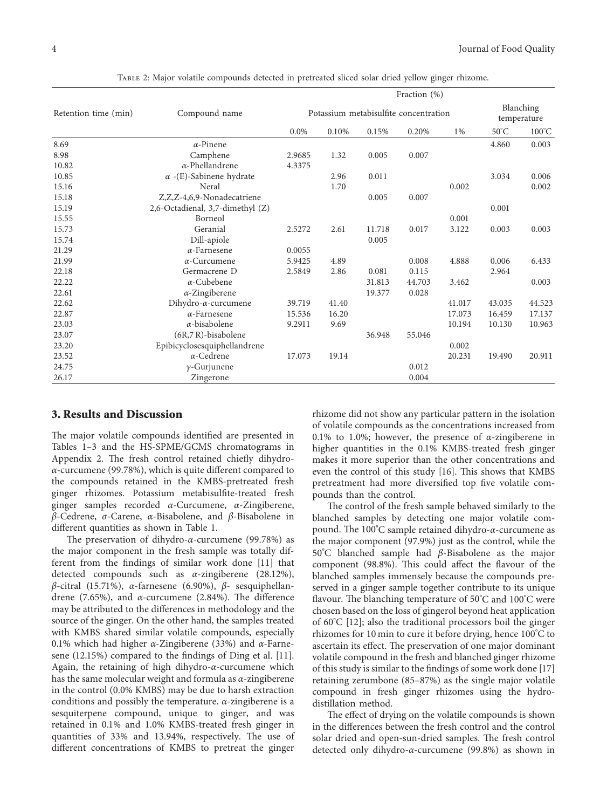<span id="page-5-0"></span>

|                      |                                  | Fraction (%)                          |       |        |        |        |                          |                 |  |  |
|----------------------|----------------------------------|---------------------------------------|-------|--------|--------|--------|--------------------------|-----------------|--|--|
| Retention time (min) | Compound name                    | Potassium metabisulfite concentration |       |        |        |        | Blanching<br>temperature |                 |  |  |
|                      |                                  | $0.0\%$                               | 0.10% | 0.15%  | 0.20%  | 1%     | $50^{\circ}$ C           | $100^{\circ}$ C |  |  |
| 8.69                 | $\alpha$ -Pinene                 |                                       |       |        |        |        | 4.860                    | 0.003           |  |  |
| 8.98                 | Camphene                         | 2.9685                                | 1.32  | 0.005  | 0.007  |        |                          |                 |  |  |
| 10.82                | $\alpha$ -Phellandrene           | 4.3375                                |       |        |        |        |                          |                 |  |  |
| 10.85                | $\alpha$ -(E)-Sabinene hydrate   |                                       | 2.96  | 0.011  |        |        | 3.034                    | 0.006           |  |  |
| 15.16                | Neral                            |                                       | 1.70  |        |        | 0.002  |                          | 0.002           |  |  |
| 15.18                | Z,Z,Z-4,6,9-Nonadecatriene       |                                       |       | 0.005  | 0.007  |        |                          |                 |  |  |
| 15.19                | 2,6-Octadienal, 3,7-dimethyl (Z) |                                       |       |        |        |        | 0.001                    |                 |  |  |
| 15.55                | Borneol                          |                                       |       |        |        | 0.001  |                          |                 |  |  |
| 15.73                | Geranial                         | 2.5272                                | 2.61  | 11.718 | 0.017  | 3.122  | 0.003                    | 0.003           |  |  |
| 15.74                | Dill-apiole                      |                                       |       | 0.005  |        |        |                          |                 |  |  |
| 21.29                | $\alpha$ -Farnesene              | 0.0055                                |       |        |        |        |                          |                 |  |  |
| 21.99                | $\alpha$ -Curcumene              | 5.9425                                | 4.89  |        | 0.008  | 4.888  | 0.006                    | 6.433           |  |  |
| 22.18                | Germacrene D                     | 2.5849                                | 2.86  | 0.081  | 0.115  |        | 2.964                    |                 |  |  |
| 22.22                | $\alpha$ -Cubebene               |                                       |       | 31.813 | 44.703 | 3.462  |                          | 0.003           |  |  |
| 22.61                | $\alpha$ -Zingiberene            |                                       |       | 19.377 | 0.028  |        |                          |                 |  |  |
| 22.62                | Dihydro- $\alpha$ -curcumene     | 39.719                                | 41.40 |        |        | 41.017 | 43.035                   | 44.523          |  |  |
| 22.87                | $\alpha$ -Farnesene              | 15.536                                | 16.20 |        |        | 17.073 | 16.459                   | 17.137          |  |  |
| 23.03                | $\alpha$ -bisabolene             | 9.2911                                | 9.69  |        |        | 10.194 | 10.130                   | 10.963          |  |  |
| 23.07                | (6R,7R)-bisabolene               |                                       |       | 36.948 | 55.046 |        |                          |                 |  |  |
| 23.20                | Epibicyclosesquiphellandrene     |                                       |       |        |        | 0.002  |                          |                 |  |  |
| 23.52                | $\alpha$ -Cedrene                | 17.073                                | 19.14 |        |        | 20.231 | 19.490                   | 20.911          |  |  |
| 24.75                | $\gamma$ -Gurjunene              |                                       |       |        | 0.012  |        |                          |                 |  |  |
| 26.17                | Zingerone                        |                                       |       |        | 0.004  |        |                          |                 |  |  |

Table 2: Major volatile compounds detected in pretreated sliced solar dried yellow ginger rhizome.

#### **3. Results and Discussion**

The major volatile compounds identified are presented in Tables [1–](#page-4-0)[3](#page-6-0) and the HS-SPME/GCMS chromatograms in Appendix [2](#page-8-0). The fresh control retained chiefly dihydro*α*-curcumene (99.78%), which is quite different compared to the compounds retained in the KMBS-pretreated fresh ginger rhizomes. Potassium metabisulfite-treated fresh ginger samples recorded *α*-Curcumene, *α*-Zingiberene, *β*-Cedrene, *σ*-Carene, *α*-Bisabolene, and *β*-Bisabolene in different quantities as shown in Table [1](#page-4-0).

The preservation of dihydro-*α*-curcumene (99.78%) as the major component in the fresh sample was totally different from the findings of similar work done [[11](#page-8-0)] that detected compounds such as *α*-zingiberene (28.12%), *β*-citral (15.71%), *α*-farnesene (6.90%), *β*- sesquiphellandrene (7.65%), and  $\alpha$ -curcumene (2.84%). The difference may be attributed to the differences in methodology and the source of the ginger. On the other hand, the samples treated with KMBS shared similar volatile compounds, especially 0.1% which had higher *α*-Zingiberene (33%) and *α*-Farnesene (12.15%) compared to the findings of Ding et al. [\[11](#page-8-0)]. Again, the retaining of high dihydro-*α*-curcumene which has the same molecular weight and formula as *α*-zingiberene in the control (0.0% KMBS) may be due to harsh extraction conditions and possibly the temperature. *α*-zingiberene is a sesquiterpene compound, unique to ginger, and was retained in 0.1% and 1.0% KMBS-treated fresh ginger in quantities of 33% and 13.94%, respectively. The use of different concentrations of KMBS to pretreat the ginger

rhizome did not show any particular pattern in the isolation of volatile compounds as the concentrations increased from 0.1% to 1.0%; however, the presence of *α*-zingiberene in higher quantities in the 0.1% KMBS-treated fresh ginger makes it more superior than the other concentrations and even the control of this study [\[16](#page-8-0)]. This shows that KMBS pretreatment had more diversified top five volatile compounds than the control.

The control of the fresh sample behaved similarly to the blanched samples by detecting one major volatile compound. The 100°C sample retained dihydro-α-curcumene as the major component (97.9%) just as the control, while the 50°C blanched sample had *β*-Bisabolene as the major component (98.8%). This could affect the flavour of the blanched samples immensely because the compounds preserved in a ginger sample together contribute to its unique flavour. The blanching temperature of 50°C and 100°C were chosen based on the loss of gingerol beyond heat application of 60°C [[12\]](#page-8-0); also the traditional processors boil the ginger rhizomes for 10 min to cure it before drying, hence 100°C to ascertain its effect. The preservation of one major dominant volatile compound in the fresh and blanched ginger rhizome of this study is similar to the findings of some work done [[17\]](#page-8-0) retaining zerumbone (85–87%) as the single major volatile compound in fresh ginger rhizomes using the hydrodistillation method.

The effect of drying on the volatile compounds is shown in the differences between the fresh control and the control solar dried and open-sun-dried samples. The fresh control detected only dihydro-*α*-curcumene (99.8%) as shown in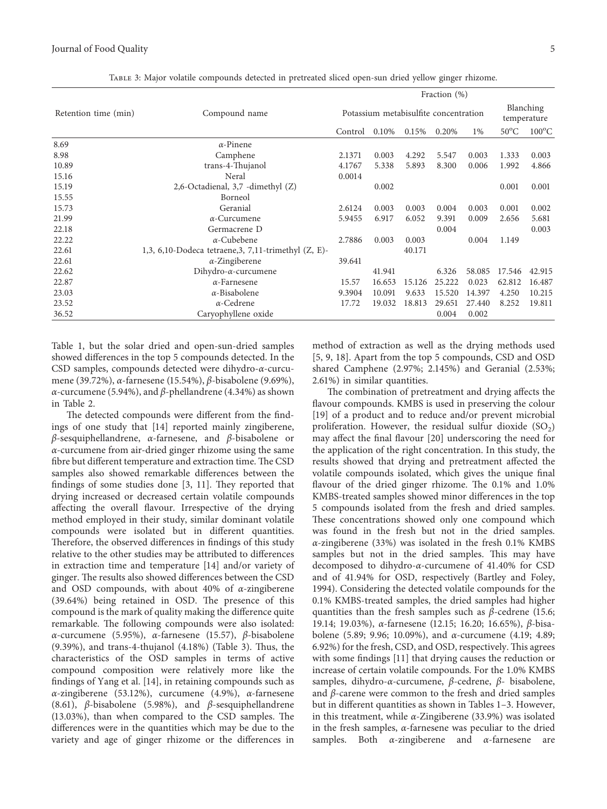<span id="page-6-0"></span>

|                      |                                                         | Fraction $(\%)$                       |        |        |        |        |                          |                 |  |
|----------------------|---------------------------------------------------------|---------------------------------------|--------|--------|--------|--------|--------------------------|-----------------|--|
| Retention time (min) | Compound name                                           | Potassium metabisulfite concentration |        |        |        |        | Blanching<br>temperature |                 |  |
|                      |                                                         | Control                               | 0.10%  | 0.15%  | 0.20%  | 1%     | $50^{\circ}$ C           | $100^{\circ}$ C |  |
| 8.69                 | $\alpha$ -Pinene                                        |                                       |        |        |        |        |                          |                 |  |
| 8.98                 | Camphene                                                | 2.1371                                | 0.003  | 4.292  | 5.547  | 0.003  | 1.333                    | 0.003           |  |
| 10.89                | trans-4-Thujanol                                        | 4.1767                                | 5.338  | 5.893  | 8.300  | 0.006  | 1.992                    | 4.866           |  |
| 15.16                | Neral                                                   | 0.0014                                |        |        |        |        |                          |                 |  |
| 15.19                | 2,6-Octadienal, 3,7 -dimethyl (Z)                       |                                       | 0.002  |        |        |        | 0.001                    | 0.001           |  |
| 15.55                | Borneol                                                 |                                       |        |        |        |        |                          |                 |  |
| 15.73                | Geranial                                                | 2.6124                                | 0.003  | 0.003  | 0.004  | 0.003  | 0.001                    | 0.002           |  |
| 21.99                | $\alpha$ -Curcumene                                     | 5.9455                                | 6.917  | 6.052  | 9.391  | 0.009  | 2.656                    | 5.681           |  |
| 22.18                | Germacrene D                                            |                                       |        |        | 0.004  |        |                          | 0.003           |  |
| 22.22                | $\alpha$ -Cubebene                                      | 2.7886                                | 0.003  | 0.003  |        | 0.004  | 1.149                    |                 |  |
| 22.61                | 1,3, 6,10-Dodeca tetraene, 3, 7,11-trimethyl $(Z, E)$ - |                                       |        | 40.171 |        |        |                          |                 |  |
| 22.61                | $\alpha$ -Zingiberene                                   | 39.641                                |        |        |        |        |                          |                 |  |
| 22.62                | Dihydro- $\alpha$ -curcumene                            |                                       | 41.941 |        | 6.326  | 58.085 | 17.546                   | 42.915          |  |
| 22.87                | $\alpha$ -Farnesene                                     | 15.57                                 | 16.653 | 15.126 | 25.222 | 0.023  | 62.812                   | 16.487          |  |
| 23.03                | $\alpha$ -Bisabolene                                    | 9.3904                                | 10.091 | 9.633  | 15.520 | 14.397 | 4.250                    | 10.215          |  |
| 23.52                | $\alpha$ -Cedrene                                       | 17.72                                 | 19.032 | 18.813 | 29.651 | 27.440 | 8.252                    | 19.811          |  |
| 36.52                | Caryophyllene oxide                                     |                                       |        |        | 0.004  | 0.002  |                          |                 |  |

Table 3: Major volatile compounds detected in pretreated sliced open-sun dried yellow ginger rhizome.

Table [1,](#page-4-0) but the solar dried and open-sun-dried samples showed differences in the top 5 compounds detected. In the CSD samples, compounds detected were dihydro-*α*-curcumene (39.72%), *α*-farnesene (15.54%), *β*-bisabolene (9.69%), *α*-curcumene (5.94%), and *β*-phellandrene (4.34%) as shown in Table [2.](#page-5-0)

The detected compounds were different from the findings of one study that [[14\]](#page-8-0) reported mainly zingiberene, *β*-sesquiphellandrene, *α*-farnesene, and *β*-bisabolene or *α*-curcumene from air-dried ginger rhizome using the same fibre but different temperature and extraction time. The CSD samples also showed remarkable differences between the findings of some studies done  $[3, 11]$  $[3, 11]$  $[3, 11]$ . They reported that drying increased or decreased certain volatile compounds affecting the overall flavour. Irrespective of the drying method employed in their study, similar dominant volatile compounds were isolated but in different quantities. Therefore, the observed differences in findings of this study relative to the other studies may be attributed to differences in extraction time and temperature [[14\]](#page-8-0) and/or variety of ginger. The results also showed differences between the CSD and OSD compounds, with about 40% of *α*-zingiberene  $(39.64%)$  being retained in OSD. The presence of this compound is the mark of quality making the difference quite remarkable. The following compounds were also isolated: *α*-curcumene (5.95%), *α*-farnesene (15.57), *β*-bisabolene  $(9.39\%)$ , and trans-4-thujanol  $(4.18\%)$  (Table 3). Thus, the characteristics of the OSD samples in terms of active compound composition were relatively more like the findings of Yang et al. [\[14](#page-8-0)], in retaining compounds such as *α*-zingiberene (53.12%), curcumene (4.9%), *α*-farnesene (8.61), *β*-bisabolene (5.98%), and *β*-sesquiphellandrene  $(13.03\%)$ , than when compared to the CSD samples. The differences were in the quantities which may be due to the variety and age of ginger rhizome or the differences in

method of extraction as well as the drying methods used [\[5](#page-8-0), [9](#page-8-0), [18\]](#page-8-0). Apart from the top 5 compounds, CSD and OSD shared Camphene (2.97%; 2.145%) and Geranial (2.53%; 2.61%) in similar quantities.

The combination of pretreatment and drying affects the flavour compounds. KMBS is used in preserving the colour [\[19](#page-8-0)] of a product and to reduce and/or prevent microbial proliferation. However, the residual sulfur dioxide  $(SO<sub>2</sub>)$ may affect the final flavour [\[20\]](#page-8-0) underscoring the need for the application of the right concentration. In this study, the results showed that drying and pretreatment affected the volatile compounds isolated, which gives the unique final flavour of the dried ginger rhizome. The  $0.1\%$  and  $1.0\%$ KMBS-treated samples showed minor differences in the top 5 compounds isolated from the fresh and dried samples. These concentrations showed only one compound which was found in the fresh but not in the dried samples. *α*-zingiberene (33%) was isolated in the fresh 0.1% KMBS samples but not in the dried samples. This may have decomposed to dihydro-*α*-curcumene of 41.40% for CSD and of 41.94% for OSD, respectively (Bartley and Foley, 1994). Considering the detected volatile compounds for the 0.1% KMBS-treated samples, the dried samples had higher quantities than the fresh samples such as *β*-cedrene (15.6; 19.14; 19.03%), *α*-farnesene (12.15; 16.20; 16.65%), *β*-bisabolene (5.89; 9.96; 10.09%), and *α*-curcumene (4.19; 4.89; 6.92%) for the fresh, CSD, and OSD, respectively. This agrees with some findings [\[11](#page-8-0)] that drying causes the reduction or increase of certain volatile compounds. For the 1.0% KMBS samples, dihydro-*α*-curcumene, *β*-cedrene, *β*- bisabolene, and *β*-carene were common to the fresh and dried samples but in different quantities as shown in Tables [1–](#page-4-0)3. However, in this treatment, while *α*-Zingiberene (33.9%) was isolated in the fresh samples, *α*-farnesene was peculiar to the dried samples. Both *α*-zingiberene and *α*-farnesene are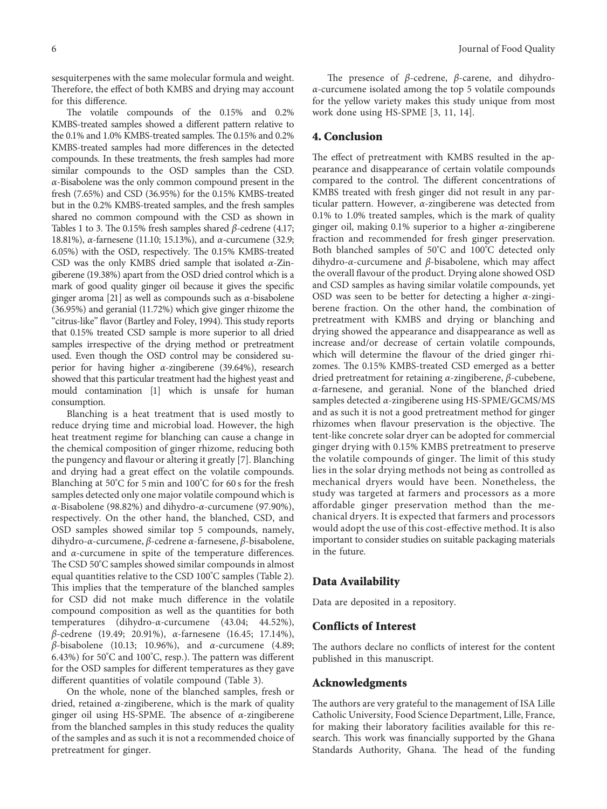sesquiterpenes with the same molecular formula and weight. Therefore, the effect of both KMBS and drying may account for this difference.

The volatile compounds of the 0.15% and 0.2% KMBS-treated samples showed a different pattern relative to the 0.1% and 1.0% KMBS-treated samples. The 0.15% and 0.2% KMBS-treated samples had more differences in the detected compounds. In these treatments, the fresh samples had more similar compounds to the OSD samples than the CSD. *α*-Bisabolene was the only common compound present in the fresh (7.65%) and CSD (36.95%) for the 0.15% KMBS-treated but in the 0.2% KMBS-treated samples, and the fresh samples shared no common compound with the CSD as shown in Tables [1](#page-4-0) to [3.](#page-6-0) The 0.15% fresh samples shared *β*-cedrene (4.17; 18.81%), *α*-farnesene (11.10; 15.13%), and *α*-curcumene (32.9; 6.05%) with the OSD, respectively. The 0.15% KMBS-treated CSD was the only KMBS dried sample that isolated *α*-Zingiberene (19.38%) apart from the OSD dried control which is a mark of good quality ginger oil because it gives the specific ginger aroma [[21](#page-8-0)] as well as compounds such as *α*-bisabolene (36.95%) and geranial (11.72%) which give ginger rhizome the "citrus-like" flavor (Bartley and Foley, 1994). This study reports that 0.15% treated CSD sample is more superior to all dried samples irrespective of the drying method or pretreatment used. Even though the OSD control may be considered superior for having higher *α*-zingiberene (39.64%), research showed that this particular treatment had the highest yeast and mould contamination [[1\]](#page-8-0) which is unsafe for human consumption.

Blanching is a heat treatment that is used mostly to reduce drying time and microbial load. However, the high heat treatment regime for blanching can cause a change in the chemical composition of ginger rhizome, reducing both the pungency and flavour or altering it greatly [\[7\]](#page-8-0). Blanching and drying had a great effect on the volatile compounds. Blanching at 50°C for 5 min and 100°C for 60 s for the fresh samples detected only one major volatile compound which is *α*-Bisabolene (98.82%) and dihydro-*α*-curcumene (97.90%), respectively. On the other hand, the blanched, CSD, and OSD samples showed similar top 5 compounds, namely, dihydro-*α*-curcumene, *β*-cedrene *α*-farnesene, *β*-bisabolene, and *α*-curcumene in spite of the temperature differences. The CSD 50°C samples showed similar compounds in almost equal quantities relative to the CSD 100°C samples (Table [2](#page-5-0)). This implies that the temperature of the blanched samples for CSD did not make much difference in the volatile compound composition as well as the quantities for both temperatures (dihydro-*α*-curcumene (43.04; 44.52%), *β*-cedrene (19.49; 20.91%), *α*-farnesene (16.45; 17.14%), *β*-bisabolene (10.13; 10.96%), and *α*-curcumene (4.89; 6.43%) for 50°C and 100°C, resp.). The pattern was different for the OSD samples for different temperatures as they gave different quantities of volatile compound (Table [3](#page-6-0)).

On the whole, none of the blanched samples, fresh or dried, retained *α*-zingiberene, which is the mark of quality ginger oil using HS-SPME. The absence of *α*-zingiberene from the blanched samples in this study reduces the quality of the samples and as such it is not a recommended choice of pretreatment for ginger.

The presence of *β*-cedrene, *β*-carene, and dihydro*α*-curcumene isolated among the top 5 volatile compounds for the yellow variety makes this study unique from most work done using HS-SPME [[3, 11, 14\]](#page-8-0).

#### **4. Conclusion**

The effect of pretreatment with KMBS resulted in the appearance and disappearance of certain volatile compounds compared to the control. The different concentrations of KMBS treated with fresh ginger did not result in any particular pattern. However, *α*-zingiberene was detected from 0.1% to 1.0% treated samples, which is the mark of quality ginger oil, making 0.1% superior to a higher *α*-zingiberene fraction and recommended for fresh ginger preservation. Both blanched samples of 50°C and 100°C detected only dihydro-*α*-curcumene and *β*-bisabolene, which may affect the overall flavour of the product. Drying alone showed OSD and CSD samples as having similar volatile compounds, yet OSD was seen to be better for detecting a higher *α*-zingiberene fraction. On the other hand, the combination of pretreatment with KMBS and drying or blanching and drying showed the appearance and disappearance as well as increase and/or decrease of certain volatile compounds, which will determine the flavour of the dried ginger rhizomes. The 0.15% KMBS-treated CSD emerged as a better dried pretreatment for retaining *α*-zingiberene, *β*-cubebene, *α*-farnesene, and geranial. None of the blanched dried samples detected *α*-zingiberene using HS-SPME/GCMS/MS and as such it is not a good pretreatment method for ginger rhizomes when flavour preservation is the objective. The tent-like concrete solar dryer can be adopted for commercial ginger drying with 0.15% KMBS pretreatment to preserve the volatile compounds of ginger. The limit of this study lies in the solar drying methods not being as controlled as mechanical dryers would have been. Nonetheless, the study was targeted at farmers and processors as a more affordable ginger preservation method than the mechanical dryers. It is expected that farmers and processors would adopt the use of this cost-effective method. It is also important to consider studies on suitable packaging materials in the future.

#### **Data Availability**

Data are deposited in a repository.

#### **Conflicts of Interest**

The authors declare no conflicts of interest for the content published in this manuscript.

#### **Acknowledgments**

The authors are very grateful to the management of ISA Lille Catholic University, Food Science Department, Lille, France, for making their laboratory facilities available for this research. This work was financially supported by the Ghana Standards Authority, Ghana. The head of the funding